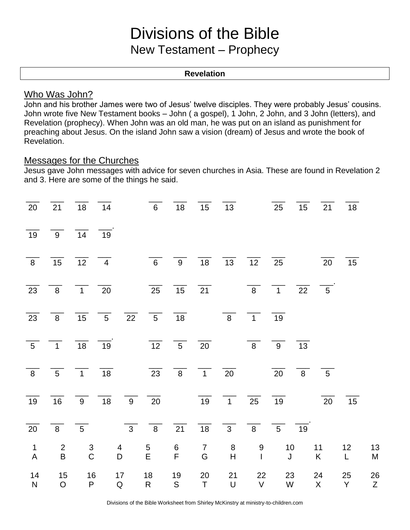# Divisions of the Bible New Testament – Prophecy

#### **Revelation**

### Who Was John?

John and his brother James were two of Jesus' twelve disciples. They were probably Jesus' cousins. John wrote five New Testament books – John ( a gospel), 1 John, 2 John, and 3 John (letters), and Revelation (prophecy). When John was an old man, he was put on an island as punishment for preaching about Jesus. On the island John saw a vision (dream) of Jesus and wrote the book of Revelation.

# Messages for the Churches

Jesus gave John messages with advice for seven churches in Asia. These are found in Revelation 2 and 3. Here are some of the things he said.

|                                                                                                                        | $\overline{20}$ $\overline{21}$ $\overline{18}$ $\overline{14}$ |                                |    |                  | $\overline{6}$                                                | 18                                              |                                 | 15 13             |                                                              | 25                | 15 | 21             | 18                 |                 |
|------------------------------------------------------------------------------------------------------------------------|-----------------------------------------------------------------|--------------------------------|----|------------------|---------------------------------------------------------------|-------------------------------------------------|---------------------------------|-------------------|--------------------------------------------------------------|-------------------|----|----------------|--------------------|-----------------|
| 19                                                                                                                     | 9 14 19                                                         |                                |    |                  |                                                               |                                                 |                                 |                   |                                                              |                   |    |                |                    |                 |
| $\overline{8}$                                                                                                         | $\overline{15}$                                                 | $\overline{12}$ $\overline{4}$ |    |                  | $\overline{6}$ $\overline{9}$                                 |                                                 |                                 |                   | $\frac{1}{18}$ $\frac{1}{13}$ $\frac{1}{12}$ $\frac{1}{25}$  |                   |    | 20             | 15                 |                 |
|                                                                                                                        | $\overline{23}$ $\overline{8}$ $\overline{1}$ $\overline{20}$   |                                |    |                  |                                                               | $\overline{25}$ $\overline{15}$ $\overline{21}$ |                                 |                   | $\overline{8}$ $\overline{1}$ $\overline{22}$ $\overline{5}$ |                   |    |                |                    |                 |
| $\overline{23}$                                                                                                        | 8 <sup>8</sup>                                                  | 15                             |    |                  | $\overline{5}$ $\overline{22}$ $\overline{5}$ $\overline{18}$ |                                                 |                                 |                   | 8 1                                                          | 19                |    |                |                    |                 |
|                                                                                                                        | $\overline{5}$ $\overline{1}$ $\overline{18}$                   |                                | 19 |                  | $\overline{12}$ $\overline{5}$ $\overline{20}$                |                                                 |                                 |                   | 8 <sup>8</sup>                                               | 9                 | 13 |                |                    |                 |
|                                                                                                                        | $\overline{8}$ $\overline{5}$ $\overline{1}$ $\overline{18}$    |                                |    |                  | $\overline{23}$ $\overline{8}$ $\overline{1}$ $\overline{20}$ |                                                 |                                 |                   |                                                              | $\overline{20}$ 8 |    | 5 <sup>5</sup> |                    |                 |
| $\overline{19}$                                                                                                        | $\frac{16}{16}$ $\frac{9}{18}$ $\frac{1}{9}$ $\frac{1}{20}$     |                                |    |                  |                                                               |                                                 |                                 |                   | $\frac{1}{19}$ $\frac{1}{1}$ $\frac{25}{1}$                  | $\overline{19}$   |    | 20             | 15                 |                 |
| 20                                                                                                                     | 8 <sup>8</sup>                                                  | $5\overline{)}$                |    |                  | $\overline{3}$ $\overline{8}$                                 | $\overline{2}1$                                 | 18                              | $\overline{3}$    | 8 5 19                                                       |                   |    |                |                    |                 |
| $\mathbf{1}$<br>$\mathsf{A}% _{\mathsf{A}}^{\prime}=\mathsf{A}_{\mathsf{A}}^{\prime}=\mathsf{A}_{\mathsf{A}}^{\prime}$ | $\overline{2}$<br>$\sf B$                                       | $\frac{3}{C}$                  |    | 4<br>$\mathsf D$ | $\frac{5}{E}$                                                 | $6 \overline{F}$                                | $\overline{7}$<br>${\mathsf G}$ | 8<br>H            | 9<br>$\mathbf{I}$                                            | 10<br>J           |    | 11<br>K        | 12<br>$\mathsf{L}$ | 13<br>${\sf M}$ |
| 14<br>${\sf N}$                                                                                                        | 15<br>$\mathsf O$                                               | 16<br>P                        |    | 17<br>${\sf Q}$  | 18<br>$\mathsf{R}$                                            | 19<br>${\mathsf S}$                             | 20<br>$\top$                    | 21<br>$\mathsf U$ | 22<br>$\mathsf V$                                            | 23<br>W           |    | 24<br>X        | 25<br>Y            | 26<br>Z         |